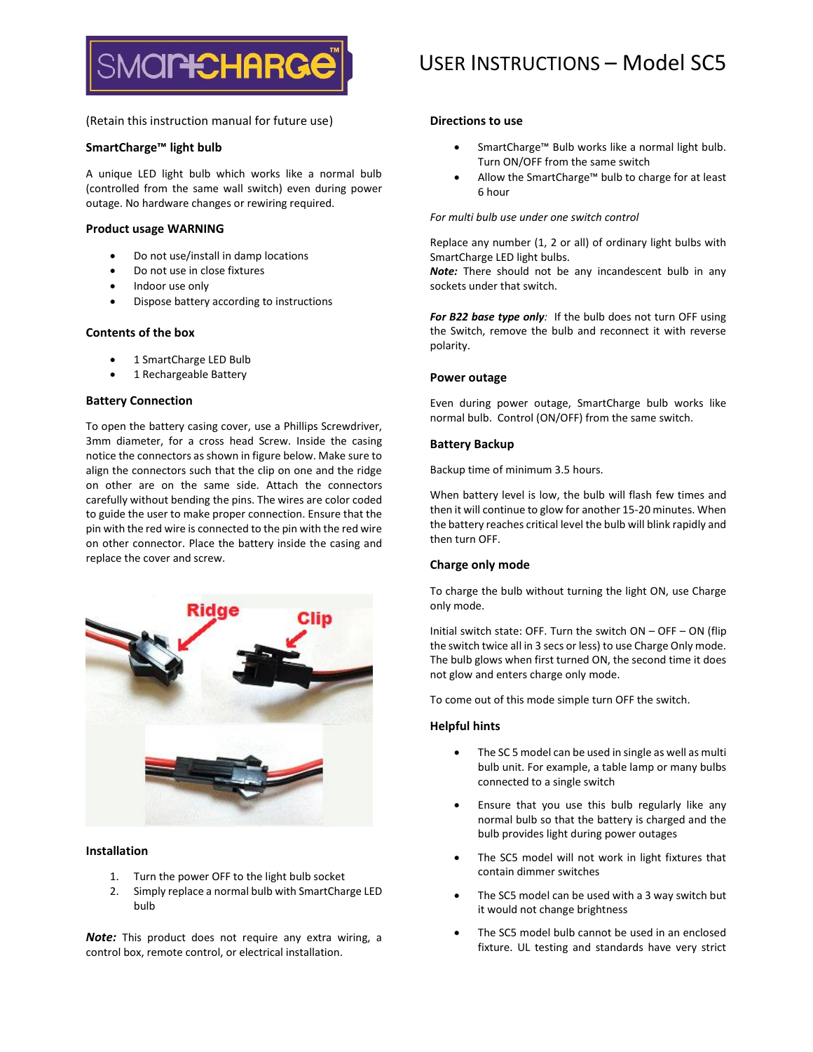

# USER INSTRUCTIONS – Model SC5

(Retain this instruction manual for future use)

# **SmartCharge™ light bulb**

A unique LED light bulb which works like a normal bulb (controlled from the same wall switch) even during power outage. No hardware changes or rewiring required.

# **Product usage WARNING**

- Do not use/install in damp locations
- Do not use in close fixtures
- Indoor use only
- Dispose battery according to instructions

# **Contents of the box**

- 1 SmartCharge LED Bulb
- 1 Rechargeable Battery

# **Battery Connection**

To open the battery casing cover, use a Phillips Screwdriver, 3mm diameter, for a cross head Screw. Inside the casing notice the connectors as shown in figure below. Make sure to align the connectors such that the clip on one and the ridge on other are on the same side. Attach the connectors carefully without bending the pins. The wires are color coded to guide the user to make proper connection. Ensure that the pin with the red wire is connected to the pin with the red wire on other connector. Place the battery inside the casing and replace the cover and screw.



### **Installation**

- 1. Turn the power OFF to the light bulb socket
- 2. Simply replace a normal bulb with SmartCharge LED bulb

*Note:* This product does not require any extra wiring, a control box, remote control, or electrical installation.

# **Directions to use**

- SmartCharge™ Bulb works like a normal light bulb. Turn ON/OFF from the same switch
- Allow the SmartCharge™ bulb to charge for at least 6 hour

# *For multi bulb use under one switch control*

Replace any number (1, 2 or all) of ordinary light bulbs with SmartCharge LED light bulbs.

*Note:* There should not be any incandescent bulb in any sockets under that switch.

*For B22 base type only:* If the bulb does not turn OFF using the Switch, remove the bulb and reconnect it with reverse polarity.

### **Power outage**

Even during power outage, SmartCharge bulb works like normal bulb. Control (ON/OFF) from the same switch.

# **Battery Backup**

Backup time of minimum 3.5 hours.

When battery level is low, the bulb will flash few times and then it will continue to glow for another 15-20 minutes. When the battery reaches critical level the bulb will blink rapidly and then turn OFF.

# **Charge only mode**

To charge the bulb without turning the light ON, use Charge only mode.

Initial switch state: OFF. Turn the switch ON – OFF – ON (flip the switch twice all in 3 secs or less) to use Charge Only mode. The bulb glows when first turned ON, the second time it does not glow and enters charge only mode.

To come out of this mode simple turn OFF the switch.

### **Helpful hints**

- The SC 5 model can be used in single as well as multi bulb unit. For example, a table lamp or many bulbs connected to a single switch
- Ensure that you use this bulb regularly like any normal bulb so that the battery is charged and the bulb provides light during power outages
- The SC5 model will not work in light fixtures that contain dimmer switches
- The SC5 model can be used with a 3 way switch but it would not change brightness
- The SC5 model bulb cannot be used in an enclosed fixture. UL testing and standards have very strict